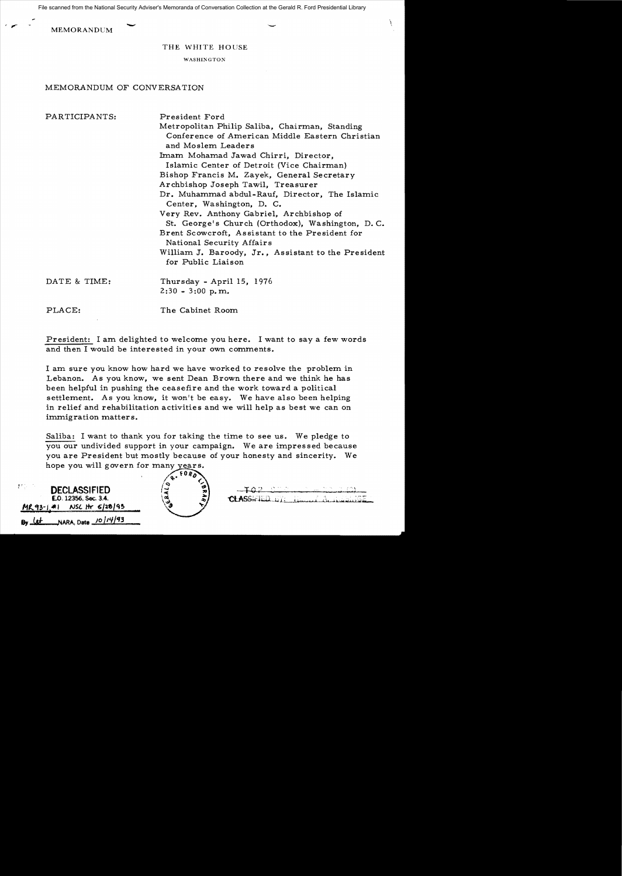$-\qquad -$ File scanned from the National Security Adviser's Memoranda of Conversation Collection at the Gerald R. Ford Presidential Library

**MEMORANDUM** 

## THE WHITE HOUSE

WASHINGTON

## MEMORANDUM OF CONVERSATION

PARTICIPANTS: President Ford

Metropolitan Philip Saliba, Chairman, Standing Conference of American Middle Eastern Christian and Moslem Leaders Imam Mohamad Jawad Chirri, Director, Islamic Center of Detroit (Vice Chairman) Bishop Francis M. Zayek, General Secretary Archbishop Joseph Tawil, Treasurer Dr. Muhammad abdul-Rauf, Director, The Islamic Center, Washington, D. C. Very Rev. Anthony Gabriel, Archbishop of St. George's Church (Orthodox), Washington, D. C. Brent Scowcroft, Assistant to the President for National Security Affairs William J. Baroody, Jr., Assistant to the President for Public Liaison DATE & TIME: Thursday - April 15, 1976 2:30 - 3:00 p.m. PLACE: The Cabinet Room

President: I am delighted to welcome you here. I want to say a few words and then I would be interested in your own comments.

I am sure you know how hard we have worked to resolve the problem in Lebanon. As you know, we sent Dean Brown there and we think he has been helpful in pushing the ceasefire and the work toward a political settlement. As you know, it won't be easy. We have also been helping in relief and rehabilitation activities and we will help as best we can on immigration matters.

Saliba: I want to thank you for taking the time to see us. We pledge to you our undivided support in your campaign. We are impressed because you are President but mostly because of your honesty and sincerity. We hope you will govern for many years.

| 波打し<br><b>DECLASSIFIED</b><br>E.O. 12356, Sec. 3.4. |    | Φ<br>æ | CLASSIEL |
|-----------------------------------------------------|----|--------|----------|
| NSC Hr 6/28/95<br>$MR93 - 141$                      | ŵ. |        |          |
| By $12 + 12$ NARA, Date $10/14/93$                  |    |        |          |

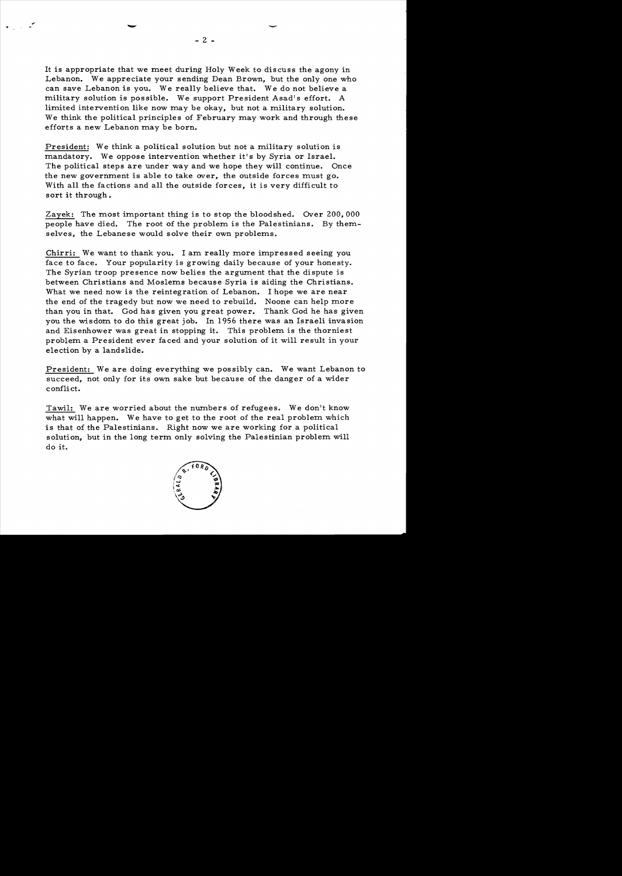It is appropriate that we meet during Holy Week to discuss the agony in Lebanon. We appreciate your sending Dean Brown, but the only one who can save Lebanon is you. We really believe that. We do not believe a military solution is possible. We support President Asad's effort. A limited intervention like now may be okay, but not a military solution. We think the political principles of February may work and through these efforts a new Lebanon may be born.

President: We think a political solution but not a military solution is mandatory. We oppose intervention whether it's by Syria or Israel. The political steps are under way and we hope they will continue. Once the new government is able to take over, the outside forces must go. With all the factions and all the outside forces, it is very difficult to sort it through.

Zayek: The most important thing is to stop the bloodshed. Over 200,000 people have died. The root of the problem is the Palestinians. By themselves, the Lebanese would solve their own problems.

Chirri: We want to thank you. I am really more impressed seeing you face to face. Your popularity is growing daily because of your honesty. The Syrian troop presence now belies the argument that the dispute is between Christians and Moslems because Syria is aiding the Christians. What we need now is the reintegration of Lebanon. I hope we are near the end of the tragedy but now we need to rebuild. Noone can help more than you in that. God has given you great power. Thank God he has given you the wisdom to do this great job. In 1956 there was an Israeli invasion and Eisenhower was great in stopping it. This problem is the thorniest problem a President ever faced and your solution of it will result in your election by a landslide.

President: We are doing everything we possibly can. We want Lebanon to succeed, not only for its own sake but because of the danger of a wider conflict.

Tawil: We are worried about the numbers of refugees. We don't know what will happen. We have to get to the root of the real problem which is that of the Palestinians. Right now we are working for a political solution, but in the long term only solving the Palestinian problem will do it.

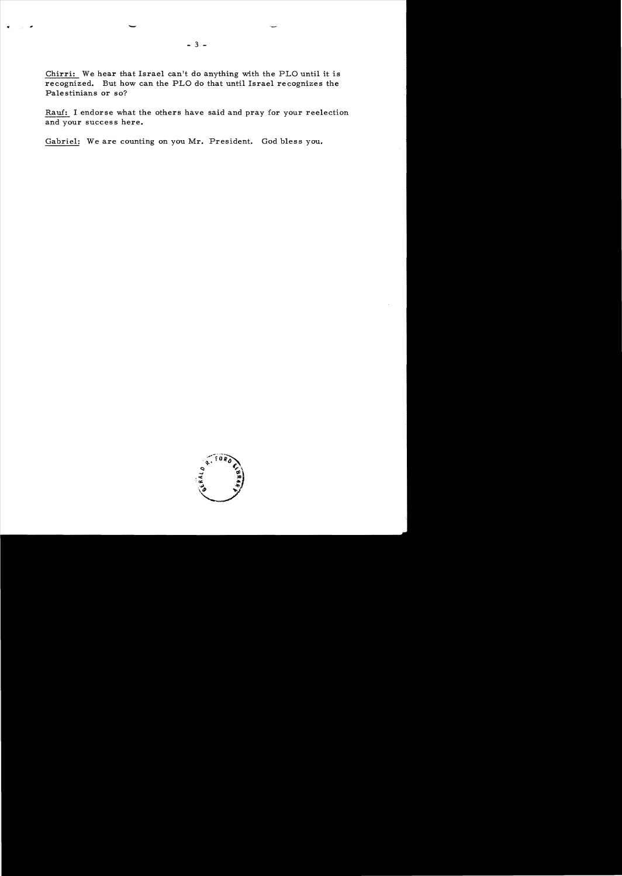Chirri: We hear that Israel can't do anything with the PLO until it is recognized. But how can the PLO do that until Israel recognizes the Palestinians or so?

Ram: I endorse what the others have said and pray for your reelection and your success here.

Gabriel: We are counting on you Mr. President. God bless you.



., -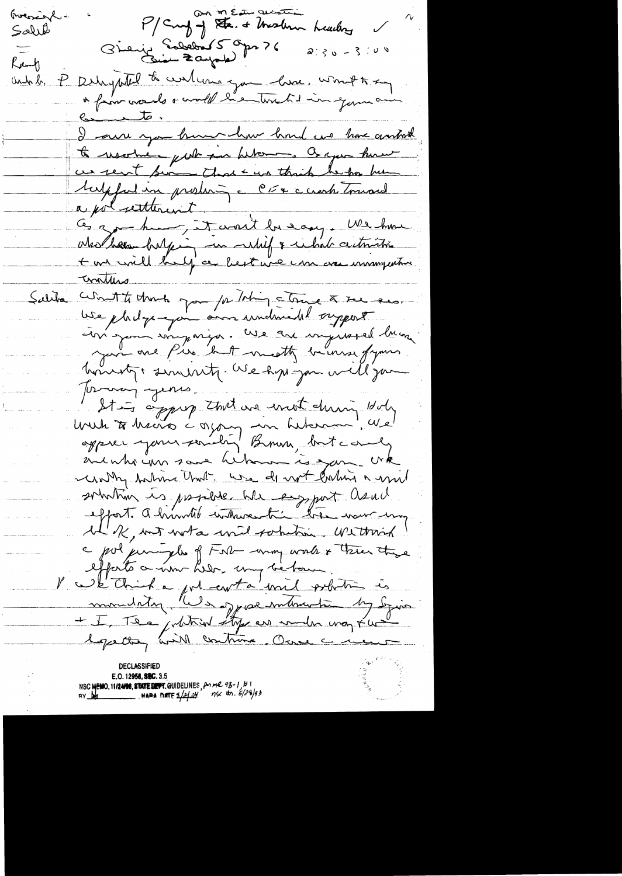P/Curf of Sta. & Meslem Rocoscal. Leading Salut Gienig Sabebar 5 Opr 76  $2.30 - 3.100$ Ready Deligatel to contenu que livre, wont to seg and b.  $\mathcal{L}$  $c_{\text{scat}}$ I am you hum how had us have antack to resortive - put par beton . Or you have ces sent sin that we think he for him tupful in produir - CE+ c creek tomard a polaretterent + ont will half a best une une esse immyenter. Totalles Salita wont to that you for Thing - time & see ses. We pladge-join our undersald organis In jour une parison. We are injusted living hoursty, sinurity. We have you will go Journay years. lour to heart a group that are unot during doly auchteun saus hibourn is sam crk in why taking that we do not calin a mil solution is posible ble emport asul effort. A huntil where this tree was ung le R, met worta with sometime. We though a pol juniples of FNL wing work & there there faits a nom hier, my behave V we think a got conta unit potition is Septetry will continue. Once a memor

E.O. 12958, SEC. 3.5 NSC MENO, 11124198, STATE DEPT. GUIDELINES, POMPL 93-1, 211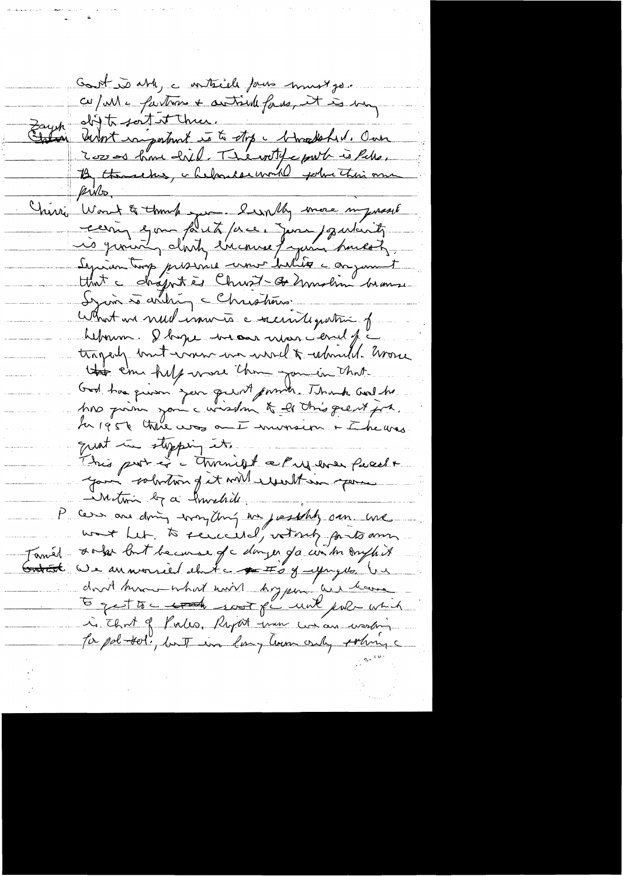Cont is able, a enteriele faire must ge. cu/ M = faitres + autrelle faces, et is very Zayet distribution de la mer. By thousand, chelonder world poline this one recinq en pout pre, jours particult Septien trop presence une belles conjunt What we need immers a security patient of hebourn. I bapt me an mon cerel fi trogarly but was us would a whould have this can help was the you in that. God has queen you punt point. Thank and he Ans prime jour curisson to le this great job. quat in stopping it.<br>This part of Monight a Puy ener freecht your solution of it will would in your case are doing wrong thing we justify own use want let, to sense ital, votort forts ann sola but because of colonger for in month it - Taméd Gratist We an morried that a gett's of upry 16, Un don't have what will hoppen as have 5 get to c to the scot for unk public which is that of Parks, Raport tran we are westing To pol-tel, but in long lawn only policy